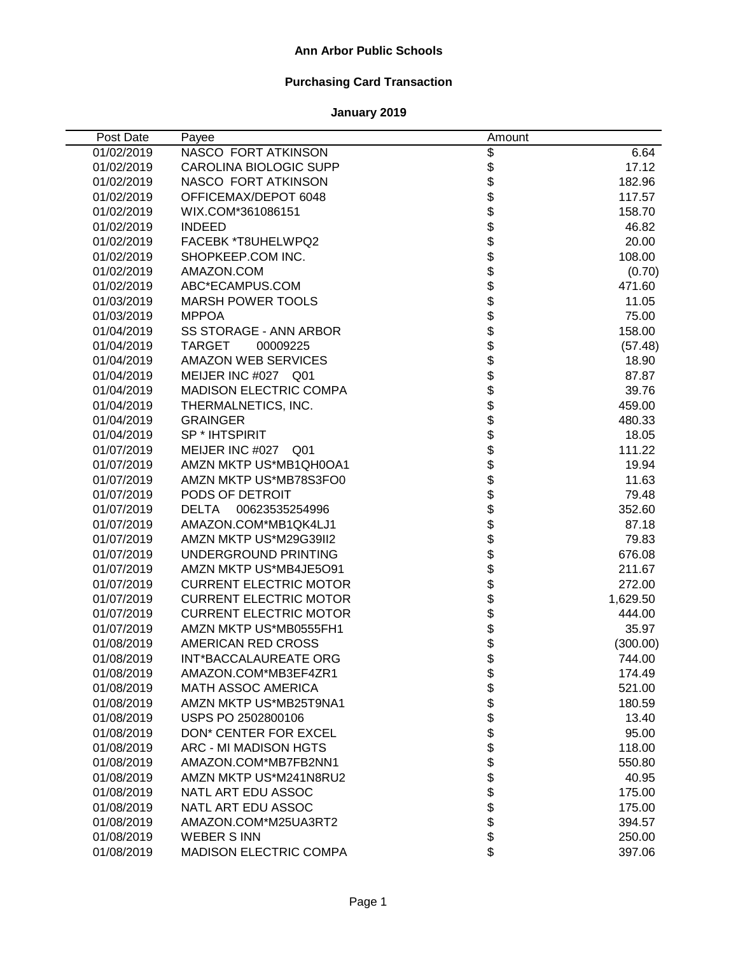## **Ann Arbor Public Schools**

# **Purchasing Card Transaction**

| Post Date  | Payee                          | Amount                     |          |
|------------|--------------------------------|----------------------------|----------|
| 01/02/2019 | NASCO FORT ATKINSON            |                            | 6.64     |
| 01/02/2019 | <b>CAROLINA BIOLOGIC SUPP</b>  |                            | 17.12    |
| 01/02/2019 | NASCO FORT ATKINSON            |                            | 182.96   |
| 01/02/2019 | OFFICEMAX/DEPOT 6048           | \$\$\$\$\$\$\$\$\$\$\$\$\$ | 117.57   |
| 01/02/2019 | WIX.COM*361086151              |                            | 158.70   |
| 01/02/2019 | <b>INDEED</b>                  |                            | 46.82    |
| 01/02/2019 | FACEBK *T8UHELWPQ2             |                            | 20.00    |
| 01/02/2019 | SHOPKEEP.COM INC.              |                            | 108.00   |
| 01/02/2019 | AMAZON.COM                     |                            | (0.70)   |
| 01/02/2019 | ABC*ECAMPUS.COM                |                            | 471.60   |
| 01/03/2019 | <b>MARSH POWER TOOLS</b>       |                            | 11.05    |
| 01/03/2019 | <b>MPPOA</b>                   |                            | 75.00    |
| 01/04/2019 | SS STORAGE - ANN ARBOR         | \$                         | 158.00   |
| 01/04/2019 | <b>TARGET</b><br>00009225      | \$                         | (57.48)  |
| 01/04/2019 | <b>AMAZON WEB SERVICES</b>     | \$                         | 18.90    |
| 01/04/2019 | MEIJER INC #027 Q01            |                            | 87.87    |
| 01/04/2019 | <b>MADISON ELECTRIC COMPA</b>  |                            | 39.76    |
| 01/04/2019 | THERMALNETICS, INC.            |                            | 459.00   |
| 01/04/2019 | <b>GRAINGER</b>                |                            | 480.33   |
| 01/04/2019 | SP * IHTSPIRIT                 |                            | 18.05    |
| 01/07/2019 | MEIJER INC #027<br>Q01         |                            | 111.22   |
| 01/07/2019 | AMZN MKTP US*MB1QH0OA1         |                            | 19.94    |
| 01/07/2019 | AMZN MKTP US*MB78S3FO0         |                            | 11.63    |
| 01/07/2019 | PODS OF DETROIT                |                            | 79.48    |
| 01/07/2019 | <b>DELTA</b><br>00623535254996 |                            | 352.60   |
| 01/07/2019 | AMAZON.COM*MB1QK4LJ1           |                            | 87.18    |
| 01/07/2019 | AMZN MKTP US*M29G39II2         |                            | 79.83    |
| 01/07/2019 | UNDERGROUND PRINTING           |                            | 676.08   |
| 01/07/2019 | AMZN MKTP US*MB4JE5O91         |                            | 211.67   |
| 01/07/2019 | <b>CURRENT ELECTRIC MOTOR</b>  | \$                         | 272.00   |
| 01/07/2019 | <b>CURRENT ELECTRIC MOTOR</b>  | \$                         | 1,629.50 |
| 01/07/2019 | <b>CURRENT ELECTRIC MOTOR</b>  | \$                         | 444.00   |
| 01/07/2019 | AMZN MKTP US*MB0555FH1         | \$<br>\$                   | 35.97    |
| 01/08/2019 | AMERICAN RED CROSS             |                            | (300.00) |
| 01/08/2019 | <b>INT*BACCALAUREATE ORG</b>   | \$                         | 744.00   |
| 01/08/2019 | AMAZON.COM*MB3EF4ZR1           | \$                         | 174.49   |
| 01/08/2019 | <b>MATH ASSOC AMERICA</b>      |                            | 521.00   |
| 01/08/2019 | AMZN MKTP US*MB25T9NA1         | <b>888888</b>              | 180.59   |
| 01/08/2019 | USPS PO 2502800106             |                            | 13.40    |
| 01/08/2019 | <b>DON* CENTER FOR EXCEL</b>   |                            | 95.00    |
| 01/08/2019 | <b>ARC - MI MADISON HGTS</b>   |                            | 118.00   |
| 01/08/2019 | AMAZON.COM*MB7FB2NN1           |                            | 550.80   |
| 01/08/2019 | AMZN MKTP US*M241N8RU2         | \$                         | 40.95    |
| 01/08/2019 | NATL ART EDU ASSOC             |                            | 175.00   |
| 01/08/2019 | NATL ART EDU ASSOC             | \$                         | 175.00   |
| 01/08/2019 | AMAZON.COM*M25UA3RT2           | \$                         | 394.57   |
| 01/08/2019 | <b>WEBER S INN</b>             | \$                         | 250.00   |
| 01/08/2019 | MADISON ELECTRIC COMPA         | \$                         | 397.06   |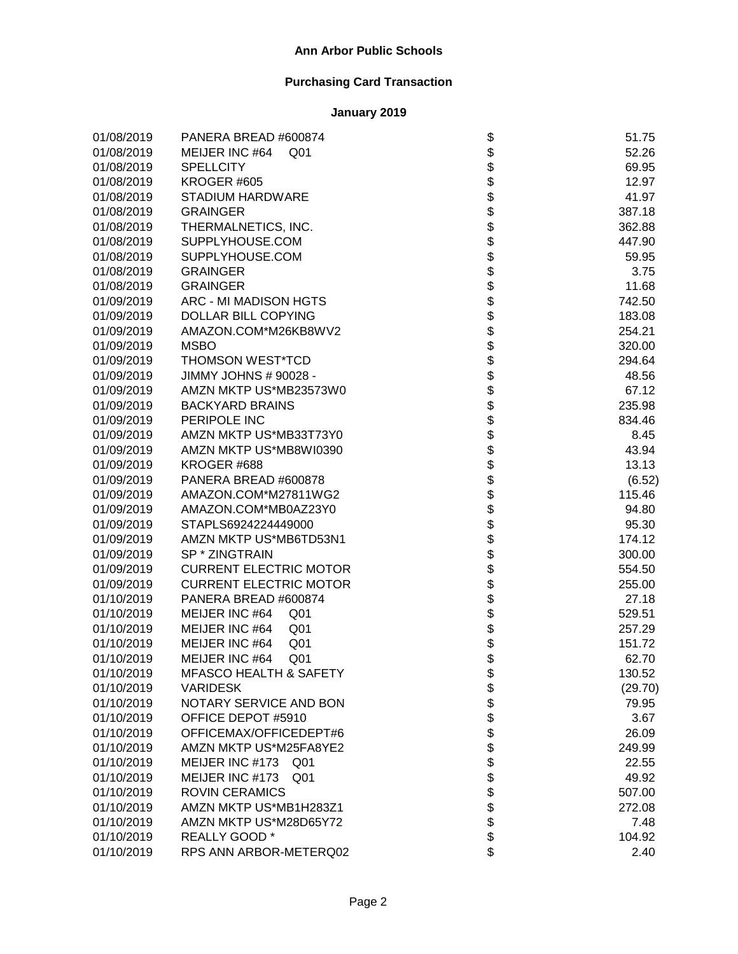| 01/08/2019 | PANERA BREAD #600874               | \$                 | 51.75   |
|------------|------------------------------------|--------------------|---------|
| 01/08/2019 | MEIJER INC #64<br>Q <sub>01</sub>  |                    | 52.26   |
| 01/08/2019 | <b>SPELLCITY</b>                   |                    | 69.95   |
| 01/08/2019 | KROGER #605                        |                    | 12.97   |
| 01/08/2019 | <b>STADIUM HARDWARE</b>            |                    | 41.97   |
| 01/08/2019 | <b>GRAINGER</b>                    |                    | 387.18  |
| 01/08/2019 | THERMALNETICS, INC.                |                    | 362.88  |
| 01/08/2019 | SUPPLYHOUSE.COM                    |                    | 447.90  |
| 01/08/2019 | SUPPLYHOUSE.COM                    |                    | 59.95   |
| 01/08/2019 | <b>GRAINGER</b>                    |                    | 3.75    |
| 01/08/2019 | <b>GRAINGER</b>                    |                    | 11.68   |
| 01/09/2019 | ARC - MI MADISON HGTS              |                    | 742.50  |
| 01/09/2019 | <b>DOLLAR BILL COPYING</b>         |                    | 183.08  |
| 01/09/2019 | AMAZON.COM*M26KB8WV2               |                    | 254.21  |
| 01/09/2019 | <b>MSBO</b>                        |                    | 320.00  |
| 01/09/2019 | <b>THOMSON WEST*TCD</b>            |                    | 294.64  |
| 01/09/2019 | JIMMY JOHNS # 90028 -              |                    | 48.56   |
| 01/09/2019 | AMZN MKTP US*MB23573W0             |                    | 67.12   |
| 01/09/2019 | <b>BACKYARD BRAINS</b>             |                    | 235.98  |
| 01/09/2019 | PERIPOLE INC                       |                    | 834.46  |
| 01/09/2019 | AMZN MKTP US*MB33T73Y0             |                    | 8.45    |
| 01/09/2019 | AMZN MKTP US*MB8WI0390             |                    | 43.94   |
| 01/09/2019 | KROGER #688                        |                    | 13.13   |
| 01/09/2019 | PANERA BREAD #600878               |                    | (6.52)  |
| 01/09/2019 | AMAZON.COM*M27811WG2               |                    | 115.46  |
| 01/09/2019 | AMAZON.COM*MB0AZ23Y0               |                    | 94.80   |
| 01/09/2019 | STAPLS6924224449000                |                    | 95.30   |
| 01/09/2019 | AMZN MKTP US*MB6TD53N1             |                    | 174.12  |
| 01/09/2019 | SP * ZINGTRAIN                     |                    | 300.00  |
| 01/09/2019 | <b>CURRENT ELECTRIC MOTOR</b>      |                    | 554.50  |
| 01/09/2019 | <b>CURRENT ELECTRIC MOTOR</b>      |                    | 255.00  |
| 01/10/2019 | PANERA BREAD #600874               |                    | 27.18   |
| 01/10/2019 | MEIJER INC #64<br>Q <sub>01</sub>  |                    | 529.51  |
| 01/10/2019 | MEIJER INC #64<br>Q <sub>01</sub>  |                    | 257.29  |
| 01/10/2019 | MEIJER INC #64<br>Q <sub>01</sub>  |                    | 151.72  |
| 01/10/2019 | MEIJER INC #64<br>Q <sub>01</sub>  |                    | 62.70   |
| 01/10/2019 | MFASCO HEALTH & SAFETY             | \$                 | 130.52  |
| 01/10/2019 | <b>VARIDESK</b>                    |                    | (29.70) |
| 01/10/2019 | NOTARY SERVICE AND BON             |                    | 79.95   |
| 01/10/2019 | OFFICE DEPOT #5910                 |                    | 3.67    |
| 01/10/2019 | OFFICEMAX/OFFICEDEPT#6             |                    | 26.09   |
| 01/10/2019 | AMZN MKTP US*M25FA8YE2             |                    | 249.99  |
| 01/10/2019 | MEIJER INC #173<br>Q01             |                    | 22.55   |
| 01/10/2019 | MEIJER INC #173<br>Q <sub>01</sub> |                    | 49.92   |
| 01/10/2019 | <b>ROVIN CERAMICS</b>              |                    | 507.00  |
| 01/10/2019 | AMZN MKTP US*MB1H283Z1             | <b>88888888888</b> | 272.08  |
| 01/10/2019 | AMZN MKTP US*M28D65Y72             |                    | 7.48    |
| 01/10/2019 | REALLY GOOD *                      |                    | 104.92  |
| 01/10/2019 | RPS ANN ARBOR-METERQ02             | \$                 | 2.40    |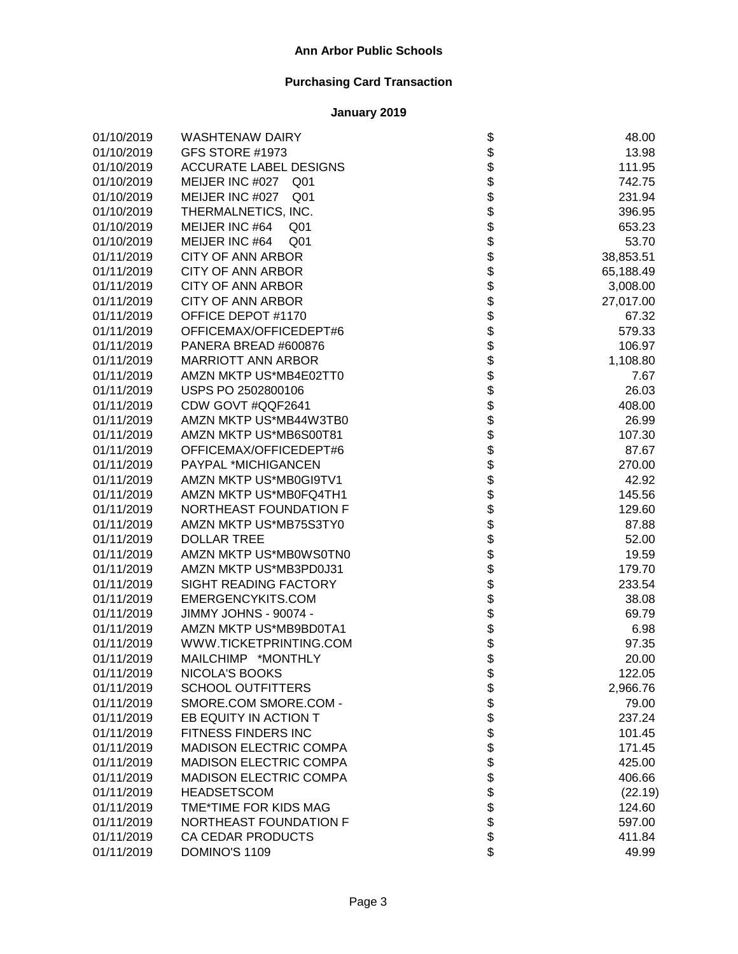| 01/10/2019 | <b>WASHTENAW DAIRY</b>             | \$                           | 48.00     |
|------------|------------------------------------|------------------------------|-----------|
| 01/10/2019 | GFS STORE #1973                    |                              | 13.98     |
| 01/10/2019 | <b>ACCURATE LABEL DESIGNS</b>      |                              | 111.95    |
| 01/10/2019 | MEIJER INC #027<br>Q01             |                              | 742.75    |
| 01/10/2019 | MEIJER INC #027<br>Q <sub>01</sub> | \$\$\$\$                     | 231.94    |
| 01/10/2019 | THERMALNETICS, INC.                |                              | 396.95    |
| 01/10/2019 | MEIJER INC #64<br>Q <sub>01</sub>  |                              | 653.23    |
| 01/10/2019 | MEIJER INC #64<br>Q <sub>01</sub>  |                              | 53.70     |
| 01/11/2019 | <b>CITY OF ANN ARBOR</b>           | <b>まままままままままま</b>            | 38,853.51 |
| 01/11/2019 | <b>CITY OF ANN ARBOR</b>           |                              | 65,188.49 |
| 01/11/2019 | <b>CITY OF ANN ARBOR</b>           |                              | 3,008.00  |
| 01/11/2019 | <b>CITY OF ANN ARBOR</b>           |                              | 27,017.00 |
| 01/11/2019 | OFFICE DEPOT #1170                 |                              | 67.32     |
| 01/11/2019 | OFFICEMAX/OFFICEDEPT#6             |                              | 579.33    |
| 01/11/2019 | PANERA BREAD #600876               |                              | 106.97    |
| 01/11/2019 | <b>MARRIOTT ANN ARBOR</b>          |                              | 1,108.80  |
| 01/11/2019 | AMZN MKTP US*MB4E02TT0             |                              | 7.67      |
| 01/11/2019 | USPS PO 2502800106                 |                              | 26.03     |
| 01/11/2019 | CDW GOVT #QQF2641                  |                              | 408.00    |
| 01/11/2019 | AMZN MKTP US*MB44W3TB0             |                              | 26.99     |
| 01/11/2019 | AMZN MKTP US*MB6S00T81             |                              | 107.30    |
| 01/11/2019 | OFFICEMAX/OFFICEDEPT#6             |                              | 87.67     |
| 01/11/2019 | PAYPAL *MICHIGANCEN                |                              | 270.00    |
| 01/11/2019 | AMZN MKTP US*MB0GI9TV1             |                              | 42.92     |
| 01/11/2019 | AMZN MKTP US*MB0FQ4TH1             |                              | 145.56    |
| 01/11/2019 | NORTHEAST FOUNDATION F             |                              | 129.60    |
| 01/11/2019 | AMZN MKTP US*MB75S3TY0             |                              | 87.88     |
| 01/11/2019 | <b>DOLLAR TREE</b>                 |                              | 52.00     |
| 01/11/2019 | AMZN MKTP US*MB0WS0TN0             |                              | 19.59     |
| 01/11/2019 | AMZN MKTP US*MB3PD0J31             |                              | 179.70    |
| 01/11/2019 | SIGHT READING FACTORY              |                              | 233.54    |
| 01/11/2019 | EMERGENCYKITS.COM                  |                              | 38.08     |
| 01/11/2019 | JIMMY JOHNS - 90074 -              |                              | 69.79     |
| 01/11/2019 | AMZN MKTP US*MB9BD0TA1             |                              | 6.98      |
| 01/11/2019 | WWW.TICKETPRINTING.COM             | \$                           | 97.35     |
| 01/11/2019 | MAILCHIMP *MONTHLY                 | \$                           | 20.00     |
| 01/11/2019 | NICOLA'S BOOKS                     | \$                           | 122.05    |
| 01/11/2019 | <b>SCHOOL OUTFITTERS</b>           |                              | 2,966.76  |
| 01/11/2019 | SMORE.COM SMORE.COM -              |                              | 79.00     |
| 01/11/2019 | EB EQUITY IN ACTION T              |                              | 237.24    |
| 01/11/2019 | FITNESS FINDERS INC                |                              | 101.45    |
| 01/11/2019 | <b>MADISON ELECTRIC COMPA</b>      |                              | 171.45    |
| 01/11/2019 | <b>MADISON ELECTRIC COMPA</b>      |                              | 425.00    |
| 01/11/2019 | <b>MADISON ELECTRIC COMPA</b>      |                              | 406.66    |
| 01/11/2019 | <b>HEADSETSCOM</b>                 |                              | (22.19)   |
| 01/11/2019 | TME*TIME FOR KIDS MAG              |                              | 124.60    |
| 01/11/2019 | NORTHEAST FOUNDATION F             |                              | 597.00    |
| 01/11/2019 | CA CEDAR PRODUCTS                  |                              | 411.84    |
| 01/11/2019 | DOMINO'S 1109                      | \$\$\$\$\$\$\$\$\$\$\$\$\$\$ | 49.99     |
|            |                                    |                              |           |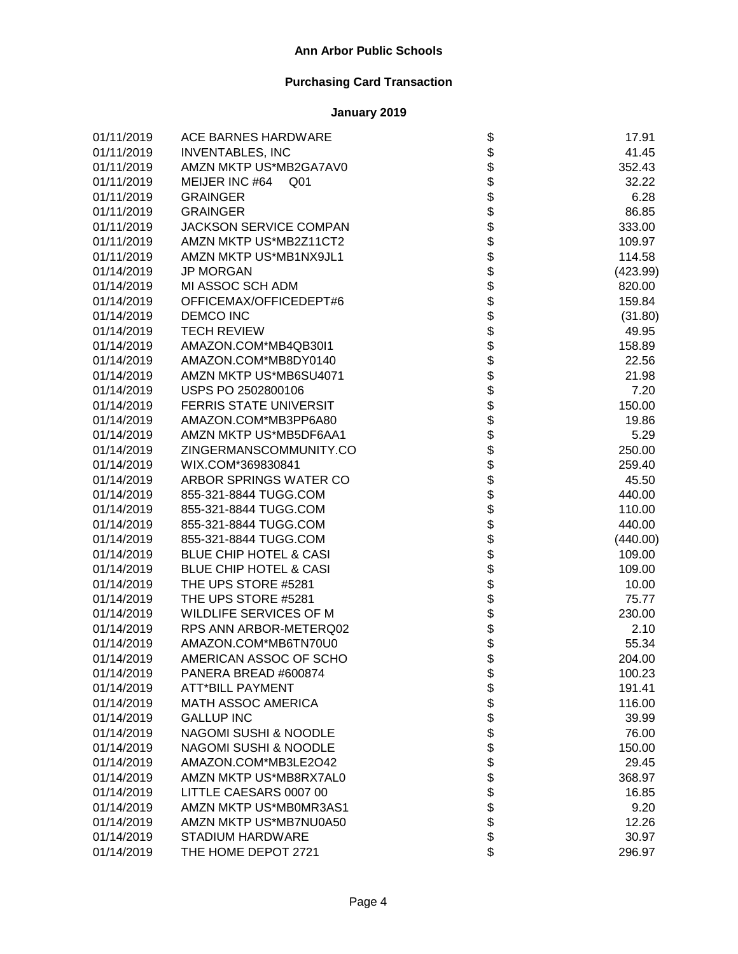| 01/11/2019 | ACE BARNES HARDWARE               | \$                                                                   | 17.91    |
|------------|-----------------------------------|----------------------------------------------------------------------|----------|
| 01/11/2019 | <b>INVENTABLES, INC</b>           |                                                                      | 41.45    |
| 01/11/2019 | AMZN MKTP US*MB2GA7AV0            |                                                                      | 352.43   |
| 01/11/2019 | MEIJER INC #64 Q01                |                                                                      | 32.22    |
| 01/11/2019 | <b>GRAINGER</b>                   |                                                                      | 6.28     |
| 01/11/2019 | <b>GRAINGER</b>                   |                                                                      | 86.85    |
| 01/11/2019 | <b>JACKSON SERVICE COMPAN</b>     |                                                                      | 333.00   |
| 01/11/2019 | AMZN MKTP US*MB2Z11CT2            |                                                                      | 109.97   |
| 01/11/2019 | AMZN MKTP US*MB1NX9JL1            |                                                                      | 114.58   |
| 01/14/2019 | <b>JP MORGAN</b>                  |                                                                      | (423.99) |
| 01/14/2019 | MI ASSOC SCH ADM                  |                                                                      | 820.00   |
| 01/14/2019 | OFFICEMAX/OFFICEDEPT#6            |                                                                      | 159.84   |
| 01/14/2019 | <b>DEMCO INC</b>                  |                                                                      | (31.80)  |
| 01/14/2019 | <b>TECH REVIEW</b>                |                                                                      | 49.95    |
| 01/14/2019 | AMAZON.COM*MB4QB30I1              |                                                                      | 158.89   |
| 01/14/2019 | AMAZON.COM*MB8DY0140              |                                                                      | 22.56    |
| 01/14/2019 | AMZN MKTP US*MB6SU4071            |                                                                      | 21.98    |
| 01/14/2019 | USPS PO 2502800106                |                                                                      | 7.20     |
| 01/14/2019 | <b>FERRIS STATE UNIVERSIT</b>     |                                                                      | 150.00   |
| 01/14/2019 | AMAZON.COM*MB3PP6A80              |                                                                      | 19.86    |
| 01/14/2019 | AMZN MKTP US*MB5DF6AA1            | \$\$\$\$\$\$\$\$\$\$\$\$\$\$\$\$\$\$\$\$\$\$\$\$\$\$\$\$\$\$\$\$\$\$ | 5.29     |
| 01/14/2019 | ZINGERMANSCOMMUNITY.CO            |                                                                      | 250.00   |
| 01/14/2019 | WIX.COM*369830841                 |                                                                      | 259.40   |
| 01/14/2019 | ARBOR SPRINGS WATER CO            |                                                                      | 45.50    |
| 01/14/2019 | 855-321-8844 TUGG.COM             |                                                                      | 440.00   |
| 01/14/2019 | 855-321-8844 TUGG.COM             |                                                                      | 110.00   |
| 01/14/2019 | 855-321-8844 TUGG.COM             |                                                                      | 440.00   |
| 01/14/2019 | 855-321-8844 TUGG.COM             |                                                                      | (440.00) |
| 01/14/2019 | <b>BLUE CHIP HOTEL &amp; CASI</b> |                                                                      | 109.00   |
| 01/14/2019 | <b>BLUE CHIP HOTEL &amp; CASI</b> |                                                                      | 109.00   |
| 01/14/2019 | THE UPS STORE #5281               | \$                                                                   | 10.00    |
| 01/14/2019 | THE UPS STORE #5281               | \$\$\$\$\$                                                           | 75.77    |
| 01/14/2019 | WILDLIFE SERVICES OF M            |                                                                      | 230.00   |
| 01/14/2019 | RPS ANN ARBOR-METERQ02            |                                                                      | 2.10     |
| 01/14/2019 | AMAZON.COM*MB6TN70U0              |                                                                      | 55.34    |
| 01/14/2019 | AMERICAN ASSOC OF SCHO            |                                                                      | 204.00   |
| 01/14/2019 | PANERA BREAD #600874              | \$                                                                   | 100.23   |
| 01/14/2019 | <b>ATT*BILL PAYMENT</b>           |                                                                      | 191.41   |
| 01/14/2019 | <b>MATH ASSOC AMERICA</b>         |                                                                      | 116.00   |
| 01/14/2019 | <b>GALLUP INC</b>                 |                                                                      | 39.99    |
| 01/14/2019 | <b>NAGOMI SUSHI &amp; NOODLE</b>  |                                                                      | 76.00    |
| 01/14/2019 | <b>NAGOMI SUSHI &amp; NOODLE</b>  |                                                                      | 150.00   |
| 01/14/2019 | AMAZON.COM*MB3LE2O42              |                                                                      | 29.45    |
| 01/14/2019 | AMZN MKTP US*MB8RX7AL0            |                                                                      | 368.97   |
| 01/14/2019 | LITTLE CAESARS 0007 00            | \$\$\$\$\$\$\$\$\$\$\$\$\$\$                                         | 16.85    |
| 01/14/2019 | AMZN MKTP US*MB0MR3AS1            |                                                                      | 9.20     |
| 01/14/2019 | AMZN MKTP US*MB7NU0A50            |                                                                      | 12.26    |
| 01/14/2019 | <b>STADIUM HARDWARE</b>           |                                                                      | 30.97    |
| 01/14/2019 | THE HOME DEPOT 2721               |                                                                      | 296.97   |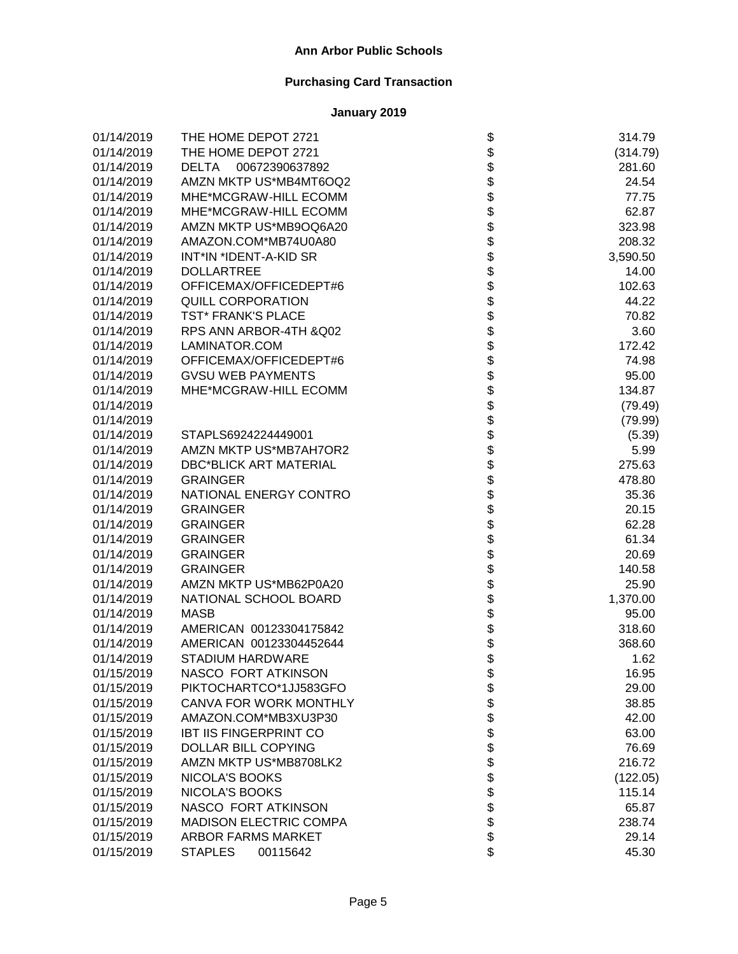| 01/14/2019 | THE HOME DEPOT 2721            |                                      | 314.79   |
|------------|--------------------------------|--------------------------------------|----------|
| 01/14/2019 | THE HOME DEPOT 2721            |                                      | (314.79) |
| 01/14/2019 | <b>DELTA</b><br>00672390637892 |                                      | 281.60   |
| 01/14/2019 | AMZN MKTP US*MB4MT6OQ2         |                                      | 24.54    |
| 01/14/2019 | MHE*MCGRAW-HILL ECOMM          |                                      | 77.75    |
| 01/14/2019 | MHE*MCGRAW-HILL ECOMM          |                                      | 62.87    |
| 01/14/2019 | AMZN MKTP US*MB9OQ6A20         |                                      | 323.98   |
| 01/14/2019 | AMAZON.COM*MB74U0A80           |                                      | 208.32   |
| 01/14/2019 | INT*IN *IDENT-A-KID SR         |                                      | 3,590.50 |
| 01/14/2019 | <b>DOLLARTREE</b>              |                                      | 14.00    |
| 01/14/2019 | OFFICEMAX/OFFICEDEPT#6         |                                      | 102.63   |
| 01/14/2019 | <b>QUILL CORPORATION</b>       |                                      | 44.22    |
| 01/14/2019 | TST* FRANK'S PLACE             |                                      | 70.82    |
| 01/14/2019 | RPS ANN ARBOR-4TH & Q02        |                                      | 3.60     |
| 01/14/2019 | LAMINATOR.COM                  |                                      | 172.42   |
| 01/14/2019 | OFFICEMAX/OFFICEDEPT#6         |                                      | 74.98    |
| 01/14/2019 | <b>GVSU WEB PAYMENTS</b>       |                                      | 95.00    |
| 01/14/2019 | MHE*MCGRAW-HILL ECOMM          |                                      | 134.87   |
| 01/14/2019 |                                |                                      | (79.49)  |
| 01/14/2019 |                                |                                      | (79.99)  |
| 01/14/2019 | STAPLS6924224449001            |                                      | (5.39)   |
| 01/14/2019 | AMZN MKTP US*MB7AH7OR2         |                                      | 5.99     |
| 01/14/2019 | <b>DBC*BLICK ART MATERIAL</b>  |                                      | 275.63   |
| 01/14/2019 | <b>GRAINGER</b>                |                                      | 478.80   |
| 01/14/2019 | NATIONAL ENERGY CONTRO         |                                      | 35.36    |
| 01/14/2019 | <b>GRAINGER</b>                | ֍֎֍֍֍֍֍֍֍֍֍֍֍֍֍֍֍֍֍֍֍֍֍֍֍֍֍֍֍֍֍֍֍֍֍֍ | 20.15    |
| 01/14/2019 | <b>GRAINGER</b>                |                                      | 62.28    |
| 01/14/2019 | <b>GRAINGER</b>                |                                      | 61.34    |
| 01/14/2019 | <b>GRAINGER</b>                |                                      | 20.69    |
| 01/14/2019 | <b>GRAINGER</b>                |                                      | 140.58   |
| 01/14/2019 | AMZN MKTP US*MB62P0A20         |                                      | 25.90    |
| 01/14/2019 | NATIONAL SCHOOL BOARD          |                                      | 1,370.00 |
| 01/14/2019 | <b>MASB</b>                    |                                      | 95.00    |
| 01/14/2019 | AMERICAN 00123304175842        |                                      | 318.60   |
| 01/14/2019 | AMERICAN 00123304452644        |                                      | 368.60   |
| 01/14/2019 | <b>STADIUM HARDWARE</b>        |                                      | 1.62     |
| 01/15/2019 | NASCO FORT ATKINSON            | \$                                   | 16.95    |
| 01/15/2019 | PIKTOCHARTCO*1JJ583GFO         |                                      | 29.00    |
| 01/15/2019 | CANVA FOR WORK MONTHLY         |                                      | 38.85    |
| 01/15/2019 | AMAZON.COM*MB3XU3P30           |                                      | 42.00    |
| 01/15/2019 | <b>IBT IIS FINGERPRINT CO</b>  |                                      | 63.00    |
| 01/15/2019 | <b>DOLLAR BILL COPYING</b>     |                                      | 76.69    |
| 01/15/2019 | AMZN MKTP US*MB8708LK2         |                                      | 216.72   |
| 01/15/2019 | <b>NICOLA'S BOOKS</b>          |                                      | (122.05) |
| 01/15/2019 | NICOLA'S BOOKS                 |                                      | 115.14   |
| 01/15/2019 | NASCO FORT ATKINSON            | <b>88888888888</b>                   | 65.87    |
| 01/15/2019 | <b>MADISON ELECTRIC COMPA</b>  |                                      | 238.74   |
| 01/15/2019 | <b>ARBOR FARMS MARKET</b>      |                                      | 29.14    |
| 01/15/2019 | <b>STAPLES</b><br>00115642     | \$                                   | 45.30    |
|            |                                |                                      |          |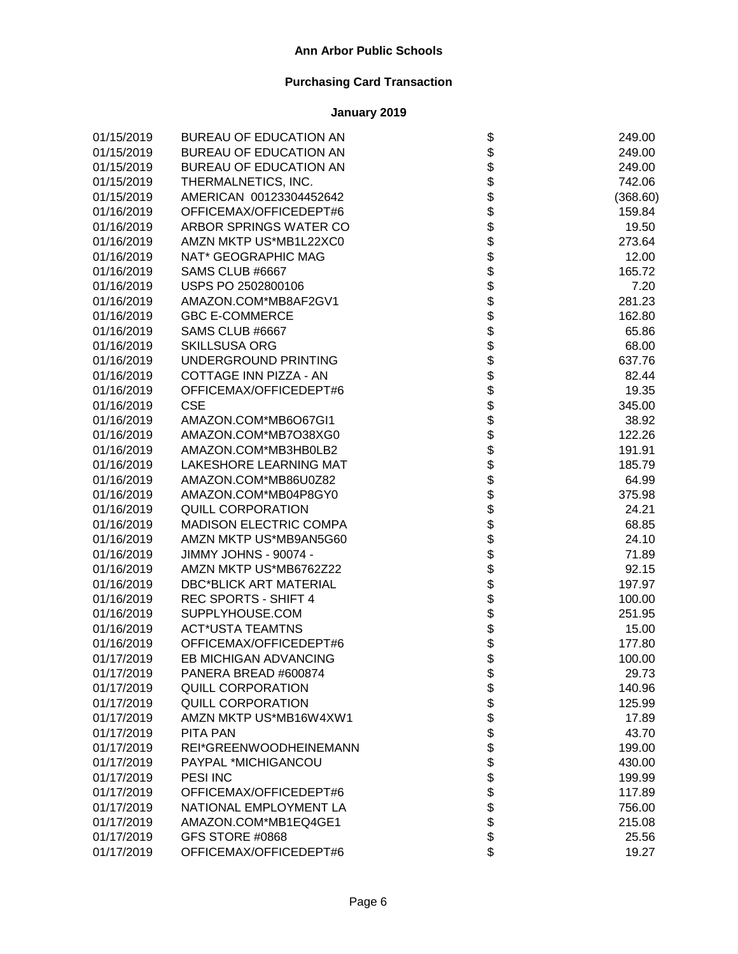| 01/15/2019 | BUREAU OF EDUCATION AN        |                                 | 249.00   |
|------------|-------------------------------|---------------------------------|----------|
| 01/15/2019 | BUREAU OF EDUCATION AN        |                                 | 249.00   |
| 01/15/2019 | BUREAU OF EDUCATION AN        |                                 | 249.00   |
| 01/15/2019 | THERMALNETICS, INC.           |                                 | 742.06   |
| 01/15/2019 | AMERICAN 00123304452642       |                                 | (368.60) |
| 01/16/2019 | OFFICEMAX/OFFICEDEPT#6        |                                 | 159.84   |
| 01/16/2019 | ARBOR SPRINGS WATER CO        |                                 | 19.50    |
| 01/16/2019 | AMZN MKTP US*MB1L22XC0        |                                 | 273.64   |
| 01/16/2019 | NAT* GEOGRAPHIC MAG           |                                 | 12.00    |
| 01/16/2019 | SAMS CLUB #6667               |                                 | 165.72   |
| 01/16/2019 | USPS PO 2502800106            |                                 | 7.20     |
| 01/16/2019 | AMAZON.COM*MB8AF2GV1          |                                 | 281.23   |
| 01/16/2019 | <b>GBC E-COMMERCE</b>         |                                 | 162.80   |
| 01/16/2019 | SAMS CLUB #6667               |                                 | 65.86    |
| 01/16/2019 | <b>SKILLSUSA ORG</b>          |                                 | 68.00    |
| 01/16/2019 | UNDERGROUND PRINTING          |                                 | 637.76   |
| 01/16/2019 | COTTAGE INN PIZZA - AN        |                                 | 82.44    |
| 01/16/2019 | OFFICEMAX/OFFICEDEPT#6        |                                 | 19.35    |
| 01/16/2019 | <b>CSE</b>                    |                                 | 345.00   |
| 01/16/2019 | AMAZON.COM*MB6O67GI1          |                                 | 38.92    |
| 01/16/2019 | AMAZON.COM*MB7O38XG0          |                                 | 122.26   |
| 01/16/2019 | AMAZON.COM*MB3HB0LB2          |                                 | 191.91   |
| 01/16/2019 | LAKESHORE LEARNING MAT        |                                 | 185.79   |
| 01/16/2019 | AMAZON.COM*MB86U0Z82          |                                 | 64.99    |
| 01/16/2019 | AMAZON.COM*MB04P8GY0          | ֍֍֍֍֍֍֍֍֍֍֍֍֍֍֍֍֍֍֍֍֍֍֍֍֍֍֍֍֍֍֍ | 375.98   |
| 01/16/2019 | <b>QUILL CORPORATION</b>      |                                 | 24.21    |
| 01/16/2019 | <b>MADISON ELECTRIC COMPA</b> |                                 | 68.85    |
| 01/16/2019 | AMZN MKTP US*MB9AN5G60        |                                 | 24.10    |
| 01/16/2019 | JIMMY JOHNS - 90074 -         |                                 | 71.89    |
| 01/16/2019 | AMZN MKTP US*MB6762Z22        |                                 | 92.15    |
| 01/16/2019 | <b>DBC*BLICK ART MATERIAL</b> |                                 | 197.97   |
| 01/16/2019 | REC SPORTS - SHIFT 4          |                                 | 100.00   |
| 01/16/2019 | SUPPLYHOUSE.COM               |                                 | 251.95   |
| 01/16/2019 | <b>ACT*USTA TEAMTNS</b>       |                                 | 15.00    |
| 01/16/2019 | OFFICEMAX/OFFICEDEPT#6        | \$\$\$                          | 177.80   |
| 01/17/2019 | EB MICHIGAN ADVANCING         |                                 | 100.00   |
| 01/17/2019 | PANERA BREAD #600874          | P                               | 29.73    |
| 01/17/2019 | <b>QUILL CORPORATION</b>      |                                 | 140.96   |
| 01/17/2019 | <b>QUILL CORPORATION</b>      |                                 | 125.99   |
| 01/17/2019 | AMZN MKTP US*MB16W4XW1        |                                 | 17.89    |
| 01/17/2019 | <b>PITA PAN</b>               |                                 | 43.70    |
| 01/17/2019 | REI*GREENWOODHEINEMANN        |                                 | 199.00   |
| 01/17/2019 | PAYPAL *MICHIGANCOU           |                                 | 430.00   |
| 01/17/2019 | PESI INC                      |                                 | 199.99   |
| 01/17/2019 | OFFICEMAX/OFFICEDEPT#6        |                                 | 117.89   |
| 01/17/2019 | NATIONAL EMPLOYMENT LA        | <b>8888888888</b>               | 756.00   |
| 01/17/2019 | AMAZON.COM*MB1EQ4GE1          |                                 | 215.08   |
| 01/17/2019 | GFS STORE #0868               |                                 | 25.56    |
| 01/17/2019 | OFFICEMAX/OFFICEDEPT#6        | \$                              | 19.27    |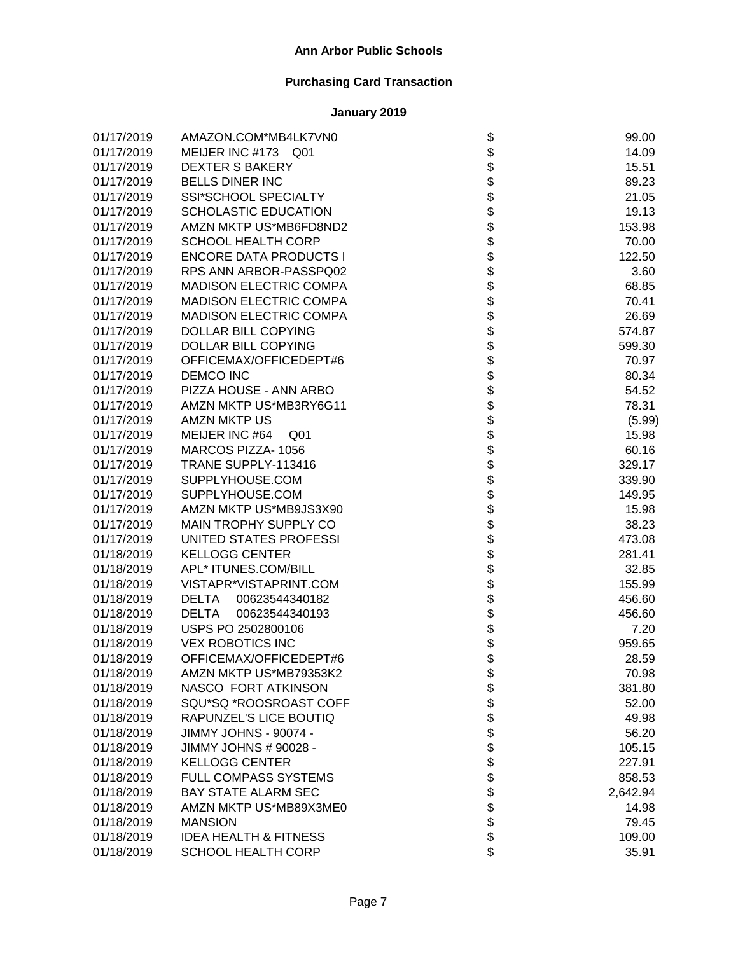| 01/17/2019 | AMAZON.COM*MB4LK7VN0              |                                  | 99.00    |
|------------|-----------------------------------|----------------------------------|----------|
| 01/17/2019 | MEIJER INC #173 Q01               |                                  | 14.09    |
| 01/17/2019 | <b>DEXTER S BAKERY</b>            |                                  | 15.51    |
| 01/17/2019 | <b>BELLS DINER INC</b>            |                                  | 89.23    |
| 01/17/2019 | <b>SSI*SCHOOL SPECIALTY</b>       |                                  | 21.05    |
| 01/17/2019 | <b>SCHOLASTIC EDUCATION</b>       |                                  | 19.13    |
| 01/17/2019 | AMZN MKTP US*MB6FD8ND2            |                                  | 153.98   |
| 01/17/2019 | <b>SCHOOL HEALTH CORP</b>         |                                  | 70.00    |
| 01/17/2019 | <b>ENCORE DATA PRODUCTS I</b>     |                                  | 122.50   |
| 01/17/2019 | RPS ANN ARBOR-PASSPQ02            |                                  | 3.60     |
| 01/17/2019 | <b>MADISON ELECTRIC COMPA</b>     |                                  | 68.85    |
| 01/17/2019 | <b>MADISON ELECTRIC COMPA</b>     |                                  | 70.41    |
| 01/17/2019 | <b>MADISON ELECTRIC COMPA</b>     |                                  | 26.69    |
| 01/17/2019 | DOLLAR BILL COPYING               |                                  | 574.87   |
| 01/17/2019 | DOLLAR BILL COPYING               |                                  | 599.30   |
| 01/17/2019 | OFFICEMAX/OFFICEDEPT#6            |                                  | 70.97    |
| 01/17/2019 | <b>DEMCO INC</b>                  |                                  | 80.34    |
| 01/17/2019 | PIZZA HOUSE - ANN ARBO            |                                  | 54.52    |
| 01/17/2019 | AMZN MKTP US*MB3RY6G11            |                                  | 78.31    |
| 01/17/2019 | <b>AMZN MKTP US</b>               |                                  | (5.99)   |
| 01/17/2019 | MEIJER INC #64<br>Q <sub>01</sub> |                                  | 15.98    |
| 01/17/2019 | MARCOS PIZZA-1056                 |                                  | 60.16    |
| 01/17/2019 | TRANE SUPPLY-113416               |                                  | 329.17   |
| 01/17/2019 | SUPPLYHOUSE.COM                   |                                  | 339.90   |
| 01/17/2019 | SUPPLYHOUSE.COM                   |                                  | 149.95   |
| 01/17/2019 | AMZN MKTP US*MB9JS3X90            | ֍֍֍֍֍֍֍֍֍֍֍֍֍֍֍֍֍֍֍֍֍֍֍֍֍֍֍֍֍֍֍֍ | 15.98    |
| 01/17/2019 | MAIN TROPHY SUPPLY CO             |                                  | 38.23    |
| 01/17/2019 | UNITED STATES PROFESSI            |                                  | 473.08   |
| 01/18/2019 | <b>KELLOGG CENTER</b>             |                                  | 281.41   |
| 01/18/2019 | APL* ITUNES.COM/BILL              |                                  | 32.85    |
| 01/18/2019 | VISTAPR*VISTAPRINT.COM            |                                  | 155.99   |
| 01/18/2019 | 00623544340182<br>DELTA           |                                  | 456.60   |
| 01/18/2019 | <b>DELTA</b><br>00623544340193    |                                  | 456.60   |
| 01/18/2019 | USPS PO 2502800106                | \$                               | 7.20     |
| 01/18/2019 | <b>VEX ROBOTICS INC</b>           | \$<br>\$                         | 959.65   |
| 01/18/2019 | OFFICEMAX/OFFICEDEPT#6            |                                  | 28.59    |
| 01/18/2019 | AMZN MKTP US*MB79353K2            | \$                               | 70.98    |
| 01/18/2019 | NASCO FORT ATKINSON               |                                  | 381.80   |
| 01/18/2019 | SQU*SQ *ROOSROAST COFF            |                                  | 52.00    |
| 01/18/2019 | RAPUNZEL'S LICE BOUTIQ            |                                  | 49.98    |
| 01/18/2019 | JIMMY JOHNS - 90074 -             |                                  | 56.20    |
| 01/18/2019 | JIMMY JOHNS # 90028 -             |                                  | 105.15   |
| 01/18/2019 | <b>KELLOGG CENTER</b>             |                                  | 227.91   |
| 01/18/2019 | FULL COMPASS SYSTEMS              |                                  | 858.53   |
| 01/18/2019 | <b>BAY STATE ALARM SEC</b>        | <b>88888888888</b>               | 2,642.94 |
| 01/18/2019 | AMZN MKTP US*MB89X3ME0            |                                  | 14.98    |
| 01/18/2019 | <b>MANSION</b>                    |                                  | 79.45    |
| 01/18/2019 | <b>IDEA HEALTH &amp; FITNESS</b>  |                                  | 109.00   |
| 01/18/2019 | <b>SCHOOL HEALTH CORP</b>         | \$                               | 35.91    |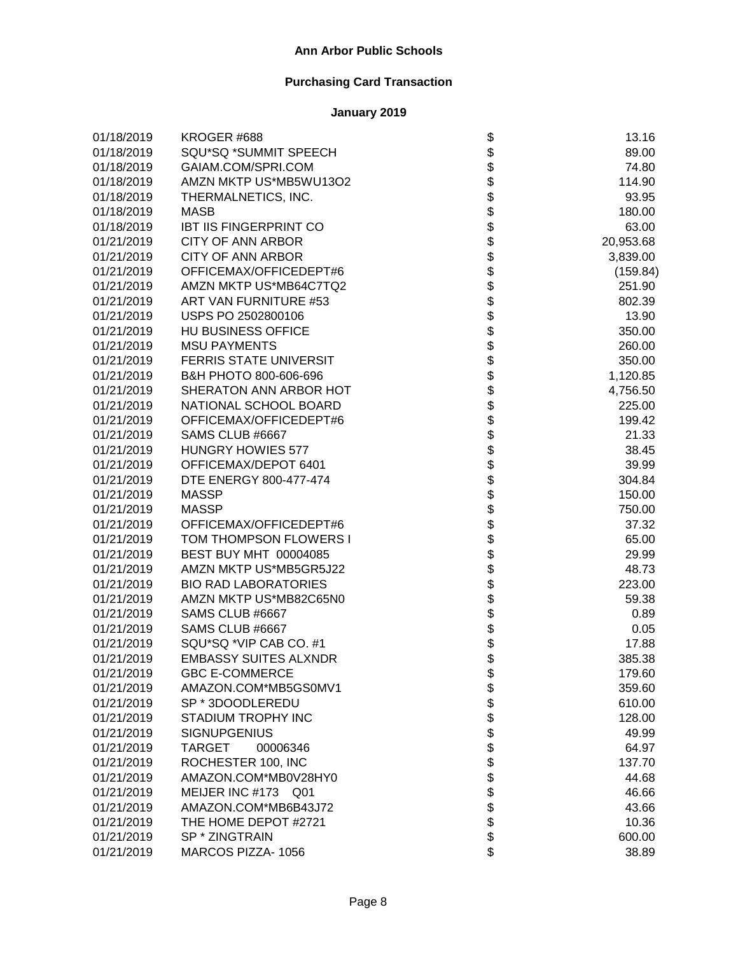| 01/18/2019 | KROGER #688                   |                                      | 13.16     |
|------------|-------------------------------|--------------------------------------|-----------|
| 01/18/2019 | SQU*SQ *SUMMIT SPEECH         |                                      | 89.00     |
| 01/18/2019 | GAIAM.COM/SPRI.COM            |                                      | 74.80     |
| 01/18/2019 | AMZN MKTP US*MB5WU13O2        |                                      | 114.90    |
| 01/18/2019 | THERMALNETICS, INC.           |                                      | 93.95     |
| 01/18/2019 | <b>MASB</b>                   |                                      | 180.00    |
| 01/18/2019 | <b>IBT IIS FINGERPRINT CO</b> |                                      | 63.00     |
| 01/21/2019 | <b>CITY OF ANN ARBOR</b>      |                                      | 20,953.68 |
| 01/21/2019 | <b>CITY OF ANN ARBOR</b>      |                                      | 3,839.00  |
| 01/21/2019 | OFFICEMAX/OFFICEDEPT#6        |                                      | (159.84)  |
| 01/21/2019 | AMZN MKTP US*MB64C7TQ2        |                                      | 251.90    |
| 01/21/2019 | ART VAN FURNITURE #53         |                                      | 802.39    |
| 01/21/2019 | USPS PO 2502800106            |                                      | 13.90     |
| 01/21/2019 | HU BUSINESS OFFICE            |                                      | 350.00    |
| 01/21/2019 | <b>MSU PAYMENTS</b>           |                                      | 260.00    |
| 01/21/2019 | FERRIS STATE UNIVERSIT        |                                      | 350.00    |
| 01/21/2019 | B&H PHOTO 800-606-696         |                                      | 1,120.85  |
| 01/21/2019 | SHERATON ANN ARBOR HOT        |                                      | 4,756.50  |
| 01/21/2019 | NATIONAL SCHOOL BOARD         |                                      | 225.00    |
| 01/21/2019 | OFFICEMAX/OFFICEDEPT#6        |                                      | 199.42    |
| 01/21/2019 | SAMS CLUB #6667               |                                      | 21.33     |
| 01/21/2019 | <b>HUNGRY HOWIES 577</b>      |                                      | 38.45     |
| 01/21/2019 | OFFICEMAX/DEPOT 6401          |                                      | 39.99     |
| 01/21/2019 | DTE ENERGY 800-477-474        |                                      | 304.84    |
| 01/21/2019 | <b>MASSP</b>                  | ֍֎֍֍֍֍֍֍֍֍֍֍֍֍֍֍֍֍֍֍֍֍֍֍֍֍֍֍֍֍֍֍֍֍֍֍ | 150.00    |
| 01/21/2019 | <b>MASSP</b>                  |                                      | 750.00    |
| 01/21/2019 | OFFICEMAX/OFFICEDEPT#6        |                                      | 37.32     |
| 01/21/2019 | TOM THOMPSON FLOWERS I        |                                      | 65.00     |
| 01/21/2019 | BEST BUY MHT 00004085         |                                      | 29.99     |
| 01/21/2019 | AMZN MKTP US*MB5GR5J22        |                                      | 48.73     |
| 01/21/2019 | <b>BIO RAD LABORATORIES</b>   |                                      | 223.00    |
| 01/21/2019 | AMZN MKTP US*MB82C65N0        |                                      | 59.38     |
| 01/21/2019 | SAMS CLUB #6667               |                                      | 0.89      |
| 01/21/2019 | SAMS CLUB #6667               |                                      | 0.05      |
| 01/21/2019 | SQU*SQ *VIP CAB CO. #1        |                                      | 17.88     |
| 01/21/2019 | <b>EMBASSY SUITES ALXNDR</b>  |                                      | 385.38    |
| 01/21/2019 | <b>GBC E-COMMERCE</b>         | \$                                   | 179.60    |
| 01/21/2019 | AMAZON.COM*MB5GS0MV1          |                                      | 359.60    |
| 01/21/2019 | SP * 3DOODLEREDU              |                                      | 610.00    |
| 01/21/2019 | STADIUM TROPHY INC            |                                      | 128.00    |
| 01/21/2019 | <b>SIGNUPGENIUS</b>           |                                      | 49.99     |
| 01/21/2019 | <b>TARGET</b><br>00006346     |                                      | 64.97     |
| 01/21/2019 | ROCHESTER 100, INC            |                                      | 137.70    |
| 01/21/2019 | AMAZON.COM*MB0V28HY0          |                                      | 44.68     |
| 01/21/2019 | MEIJER INC #173 Q01           | <b>8888888888</b>                    | 46.66     |
| 01/21/2019 | AMAZON.COM*MB6B43J72          |                                      | 43.66     |
| 01/21/2019 | THE HOME DEPOT #2721          |                                      | 10.36     |
| 01/21/2019 | SP * ZINGTRAIN                |                                      | 600.00    |
| 01/21/2019 | MARCOS PIZZA-1056             | \$                                   | 38.89     |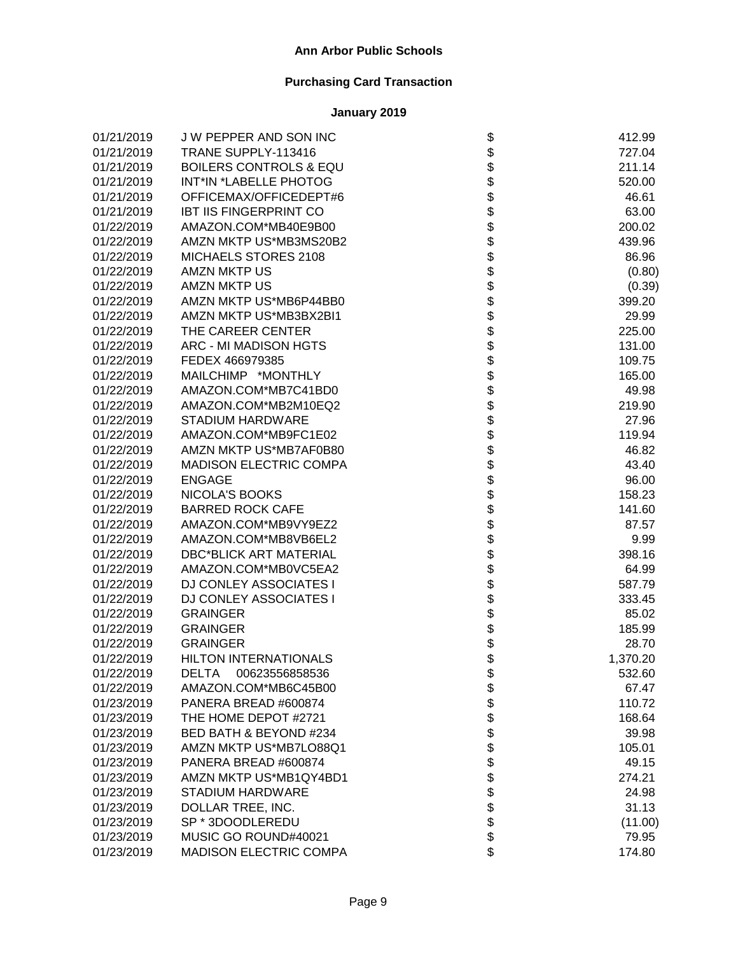| 01/21/2019 | J W PEPPER AND SON INC            |                                                                  | 412.99   |
|------------|-----------------------------------|------------------------------------------------------------------|----------|
| 01/21/2019 | TRANE SUPPLY-113416               |                                                                  | 727.04   |
| 01/21/2019 | <b>BOILERS CONTROLS &amp; EQU</b> |                                                                  | 211.14   |
| 01/21/2019 | INT*IN *LABELLE PHOTOG            |                                                                  | 520.00   |
| 01/21/2019 | OFFICEMAX/OFFICEDEPT#6            |                                                                  | 46.61    |
| 01/21/2019 | <b>IBT IIS FINGERPRINT CO</b>     |                                                                  | 63.00    |
| 01/22/2019 | AMAZON.COM*MB40E9B00              |                                                                  | 200.02   |
| 01/22/2019 | AMZN MKTP US*MB3MS20B2            |                                                                  | 439.96   |
| 01/22/2019 | MICHAELS STORES 2108              |                                                                  | 86.96    |
| 01/22/2019 | <b>AMZN MKTP US</b>               |                                                                  | (0.80)   |
| 01/22/2019 | <b>AMZN MKTP US</b>               |                                                                  | (0.39)   |
| 01/22/2019 | AMZN MKTP US*MB6P44BB0            |                                                                  | 399.20   |
| 01/22/2019 | AMZN MKTP US*MB3BX2BI1            |                                                                  | 29.99    |
| 01/22/2019 | THE CAREER CENTER                 |                                                                  | 225.00   |
| 01/22/2019 | ARC - MI MADISON HGTS             |                                                                  | 131.00   |
| 01/22/2019 | FEDEX 466979385                   |                                                                  | 109.75   |
| 01/22/2019 | MAILCHIMP *MONTHLY                |                                                                  | 165.00   |
| 01/22/2019 | AMAZON.COM*MB7C41BD0              |                                                                  | 49.98    |
| 01/22/2019 | AMAZON.COM*MB2M10EQ2              |                                                                  | 219.90   |
| 01/22/2019 | <b>STADIUM HARDWARE</b>           |                                                                  | 27.96    |
| 01/22/2019 | AMAZON.COM*MB9FC1E02              |                                                                  | 119.94   |
| 01/22/2019 | AMZN MKTP US*MB7AF0B80            |                                                                  | 46.82    |
| 01/22/2019 | <b>MADISON ELECTRIC COMPA</b>     |                                                                  | 43.40    |
| 01/22/2019 | <b>ENGAGE</b>                     |                                                                  | 96.00    |
| 01/22/2019 | <b>NICOLA'S BOOKS</b>             | \$\$\$\$\$\$\$\$\$\$\$\$\$\$\$\$\$\$\$\$\$\$\$\$\$\$\$\$\$\$\$\$ | 158.23   |
| 01/22/2019 | <b>BARRED ROCK CAFE</b>           |                                                                  | 141.60   |
| 01/22/2019 | AMAZON.COM*MB9VY9EZ2              |                                                                  | 87.57    |
| 01/22/2019 | AMAZON.COM*MB8VB6EL2              |                                                                  | 9.99     |
| 01/22/2019 | <b>DBC*BLICK ART MATERIAL</b>     | <b>8888888</b>                                                   | 398.16   |
| 01/22/2019 | AMAZON.COM*MB0VC5EA2              |                                                                  | 64.99    |
| 01/22/2019 | DJ CONLEY ASSOCIATES I            |                                                                  | 587.79   |
| 01/22/2019 | <b>DJ CONLEY ASSOCIATES I</b>     |                                                                  | 333.45   |
| 01/22/2019 | <b>GRAINGER</b>                   |                                                                  | 85.02    |
| 01/22/2019 | <b>GRAINGER</b>                   |                                                                  | 185.99   |
| 01/22/2019 | <b>GRAINGER</b>                   |                                                                  | 28.70    |
| 01/22/2019 | <b>HILTON INTERNATIONALS</b>      |                                                                  | 1,370.20 |
| 01/22/2019 | <b>DELTA</b><br>00623556858536    | \$                                                               | 532.60   |
| 01/22/2019 | AMAZON.COM*MB6C45B00              |                                                                  | 67.47    |
| 01/23/2019 | PANERA BREAD #600874              |                                                                  | 110.72   |
| 01/23/2019 | THE HOME DEPOT #2721              |                                                                  | 168.64   |
| 01/23/2019 | BED BATH & BEYOND #234            |                                                                  | 39.98    |
| 01/23/2019 | AMZN MKTP US*MB7LO88Q1            |                                                                  | 105.01   |
| 01/23/2019 | PANERA BREAD #600874              |                                                                  | 49.15    |
| 01/23/2019 | AMZN MKTP US*MB1QY4BD1            |                                                                  | 274.21   |
| 01/23/2019 | <b>STADIUM HARDWARE</b>           |                                                                  | 24.98    |
| 01/23/2019 | DOLLAR TREE, INC.                 | <b>8888888888</b>                                                | 31.13    |
| 01/23/2019 | SP * 3DOODLEREDU                  |                                                                  | (11.00)  |
| 01/23/2019 | MUSIC GO ROUND#40021              |                                                                  | 79.95    |
| 01/23/2019 | MADISON ELECTRIC COMPA            | \$                                                               | 174.80   |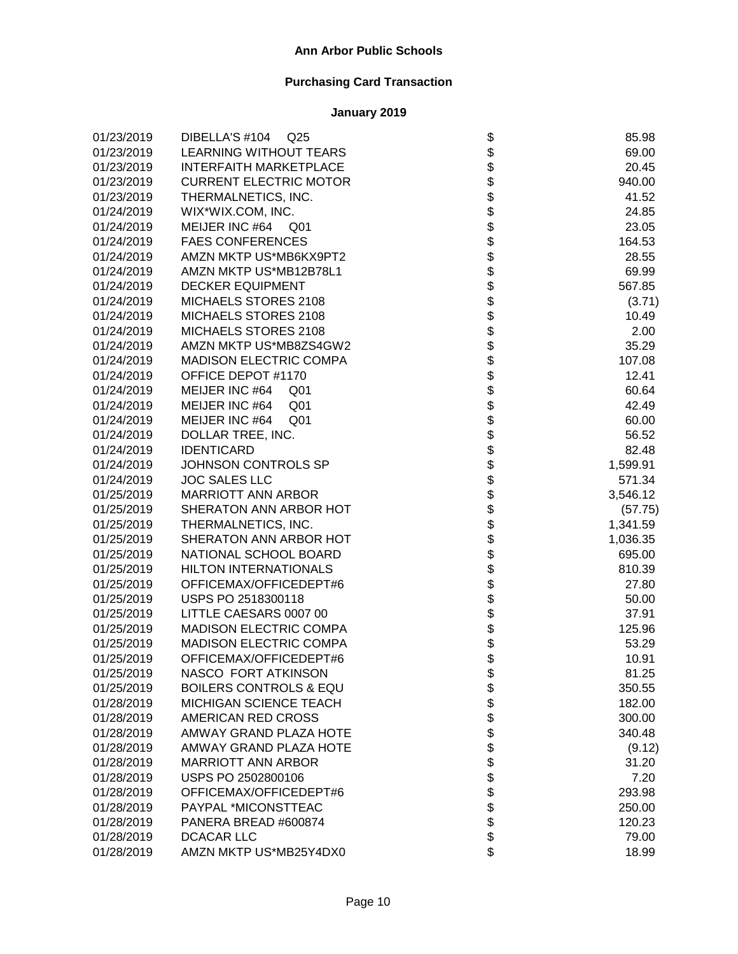| 01/23/2019 | DIBELLA'S #104<br>Q <sub>25</sub> | \$                 | 85.98    |
|------------|-----------------------------------|--------------------|----------|
| 01/23/2019 | <b>LEARNING WITHOUT TEARS</b>     |                    | 69.00    |
| 01/23/2019 | <b>INTERFAITH MARKETPLACE</b>     |                    | 20.45    |
| 01/23/2019 | <b>CURRENT ELECTRIC MOTOR</b>     |                    | 940.00   |
| 01/23/2019 | THERMALNETICS, INC.               |                    | 41.52    |
| 01/24/2019 | WIX*WIX.COM, INC.                 |                    | 24.85    |
| 01/24/2019 | MEIJER INC #64 Q01                |                    | 23.05    |
| 01/24/2019 | <b>FAES CONFERENCES</b>           |                    | 164.53   |
| 01/24/2019 | AMZN MKTP US*MB6KX9PT2            |                    | 28.55    |
| 01/24/2019 | AMZN MKTP US*MB12B78L1            |                    | 69.99    |
| 01/24/2019 | <b>DECKER EQUIPMENT</b>           |                    | 567.85   |
| 01/24/2019 | MICHAELS STORES 2108              |                    | (3.71)   |
| 01/24/2019 | MICHAELS STORES 2108              |                    | 10.49    |
| 01/24/2019 | MICHAELS STORES 2108              |                    | 2.00     |
| 01/24/2019 | AMZN MKTP US*MB8ZS4GW2            |                    | 35.29    |
| 01/24/2019 | <b>MADISON ELECTRIC COMPA</b>     |                    | 107.08   |
| 01/24/2019 | OFFICE DEPOT #1170                |                    | 12.41    |
| 01/24/2019 | MEIJER INC #64<br>Q <sub>01</sub> |                    | 60.64    |
| 01/24/2019 | MEIJER INC #64<br>Q <sub>01</sub> |                    | 42.49    |
| 01/24/2019 | MEIJER INC #64<br>Q <sub>01</sub> |                    | 60.00    |
| 01/24/2019 | DOLLAR TREE, INC.                 |                    | 56.52    |
| 01/24/2019 | <b>IDENTICARD</b>                 |                    | 82.48    |
| 01/24/2019 | JOHNSON CONTROLS SP               |                    | 1,599.91 |
| 01/24/2019 | <b>JOC SALES LLC</b>              |                    | 571.34   |
| 01/25/2019 | <b>MARRIOTT ANN ARBOR</b>         |                    | 3,546.12 |
| 01/25/2019 | SHERATON ANN ARBOR HOT            |                    | (57.75)  |
| 01/25/2019 | THERMALNETICS, INC.               |                    | 1,341.59 |
| 01/25/2019 | SHERATON ANN ARBOR HOT            |                    | 1,036.35 |
| 01/25/2019 | NATIONAL SCHOOL BOARD             |                    | 695.00   |
| 01/25/2019 | <b>HILTON INTERNATIONALS</b>      |                    | 810.39   |
| 01/25/2019 | OFFICEMAX/OFFICEDEPT#6            |                    | 27.80    |
| 01/25/2019 | USPS PO 2518300118                |                    | 50.00    |
| 01/25/2019 | LITTLE CAESARS 0007 00            |                    | 37.91    |
| 01/25/2019 | MADISON ELECTRIC COMPA            |                    | 125.96   |
| 01/25/2019 | <b>MADISON ELECTRIC COMPA</b>     |                    | 53.29    |
| 01/25/2019 | OFFICEMAX/OFFICEDEPT#6            |                    | 10.91    |
| 01/25/2019 | NASCO FORT ATKINSON               | \$                 | 81.25    |
| 01/25/2019 | <b>BOILERS CONTROLS &amp; EQU</b> |                    | 350.55   |
| 01/28/2019 | <b>MICHIGAN SCIENCE TEACH</b>     |                    | 182.00   |
| 01/28/2019 | AMERICAN RED CROSS                |                    | 300.00   |
| 01/28/2019 | <b>AMWAY GRAND PLAZA HOTE</b>     |                    | 340.48   |
| 01/28/2019 | AMWAY GRAND PLAZA HOTE            |                    | (9.12)   |
| 01/28/2019 | <b>MARRIOTT ANN ARBOR</b>         |                    | 31.20    |
| 01/28/2019 | USPS PO 2502800106                |                    | 7.20     |
| 01/28/2019 | OFFICEMAX/OFFICEDEPT#6            | <b>88888888888</b> | 293.98   |
| 01/28/2019 | PAYPAL *MICONSTTEAC               |                    | 250.00   |
| 01/28/2019 | PANERA BREAD #600874              |                    | 120.23   |
| 01/28/2019 | <b>DCACAR LLC</b>                 |                    | 79.00    |
| 01/28/2019 | AMZN MKTP US*MB25Y4DX0            | \$                 | 18.99    |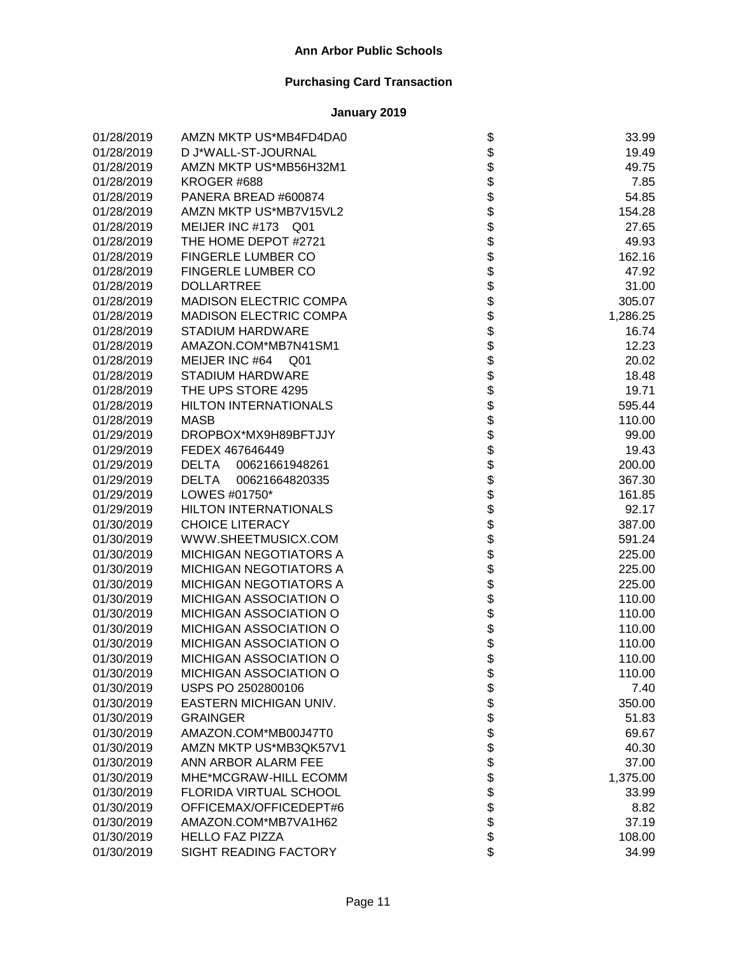| 01/28/2019 | AMZN MKTP US*MB4FD4DA0            | \$                 | 33.99    |
|------------|-----------------------------------|--------------------|----------|
| 01/28/2019 | D J*WALL-ST-JOURNAL               |                    | 19.49    |
| 01/28/2019 | AMZN MKTP US*MB56H32M1            |                    | 49.75    |
| 01/28/2019 | KROGER #688                       |                    | 7.85     |
| 01/28/2019 | PANERA BREAD #600874              |                    | 54.85    |
| 01/28/2019 | AMZN MKTP US*MB7V15VL2            |                    | 154.28   |
| 01/28/2019 | MEIJER INC #173 Q01               |                    | 27.65    |
| 01/28/2019 | THE HOME DEPOT #2721              |                    | 49.93    |
| 01/28/2019 | FINGERLE LUMBER CO                |                    | 162.16   |
| 01/28/2019 | FINGERLE LUMBER CO                |                    | 47.92    |
| 01/28/2019 | <b>DOLLARTREE</b>                 |                    | 31.00    |
| 01/28/2019 | <b>MADISON ELECTRIC COMPA</b>     |                    | 305.07   |
| 01/28/2019 | <b>MADISON ELECTRIC COMPA</b>     |                    | 1,286.25 |
| 01/28/2019 | STADIUM HARDWARE                  |                    | 16.74    |
| 01/28/2019 | AMAZON.COM*MB7N41SM1              |                    | 12.23    |
| 01/28/2019 | MEIJER INC #64<br>Q <sub>01</sub> |                    | 20.02    |
| 01/28/2019 | STADIUM HARDWARE                  |                    | 18.48    |
| 01/28/2019 | THE UPS STORE 4295                |                    | 19.71    |
| 01/28/2019 | <b>HILTON INTERNATIONALS</b>      |                    | 595.44   |
| 01/28/2019 | <b>MASB</b>                       |                    | 110.00   |
| 01/29/2019 | DROPBOX*MX9H89BFTJJY              |                    | 99.00    |
| 01/29/2019 | FEDEX 467646449                   |                    | 19.43    |
| 01/29/2019 | <b>DELTA</b><br>00621661948261    |                    | 200.00   |
| 01/29/2019 | <b>DELTA</b><br>00621664820335    |                    | 367.30   |
| 01/29/2019 | LOWES #01750*                     |                    | 161.85   |
| 01/29/2019 | <b>HILTON INTERNATIONALS</b>      |                    | 92.17    |
| 01/30/2019 | <b>CHOICE LITERACY</b>            |                    | 387.00   |
| 01/30/2019 | WWW.SHEETMUSICX.COM               |                    | 591.24   |
| 01/30/2019 | <b>MICHIGAN NEGOTIATORS A</b>     |                    | 225.00   |
| 01/30/2019 | <b>MICHIGAN NEGOTIATORS A</b>     |                    | 225.00   |
| 01/30/2019 | <b>MICHIGAN NEGOTIATORS A</b>     |                    | 225.00   |
| 01/30/2019 | MICHIGAN ASSOCIATION O            |                    | 110.00   |
| 01/30/2019 | MICHIGAN ASSOCIATION O            |                    | 110.00   |
| 01/30/2019 | MICHIGAN ASSOCIATION O            |                    | 110.00   |
| 01/30/2019 | MICHIGAN ASSOCIATION O            |                    | 110.00   |
| 01/30/2019 | MICHIGAN ASSOCIATION O            |                    | 110.00   |
| 01/30/2019 | MICHIGAN ASSOCIATION O            | \$                 | 110.00   |
| 01/30/2019 | USPS PO 2502800106                |                    | 7.40     |
| 01/30/2019 | EASTERN MICHIGAN UNIV.            |                    | 350.00   |
| 01/30/2019 | <b>GRAINGER</b>                   |                    | 51.83    |
| 01/30/2019 | AMAZON.COM*MB00J47T0              |                    | 69.67    |
| 01/30/2019 | AMZN MKTP US*MB3QK57V1            |                    | 40.30    |
| 01/30/2019 | ANN ARBOR ALARM FEE               |                    | 37.00    |
| 01/30/2019 | MHE*MCGRAW-HILL ECOMM             |                    | 1,375.00 |
| 01/30/2019 | FLORIDA VIRTUAL SCHOOL            |                    | 33.99    |
| 01/30/2019 | OFFICEMAX/OFFICEDEPT#6            | <b>88888888888</b> | 8.82     |
| 01/30/2019 | AMAZON.COM*MB7VA1H62              |                    | 37.19    |
| 01/30/2019 | <b>HELLO FAZ PIZZA</b>            |                    | 108.00   |
| 01/30/2019 | SIGHT READING FACTORY             | \$                 | 34.99    |